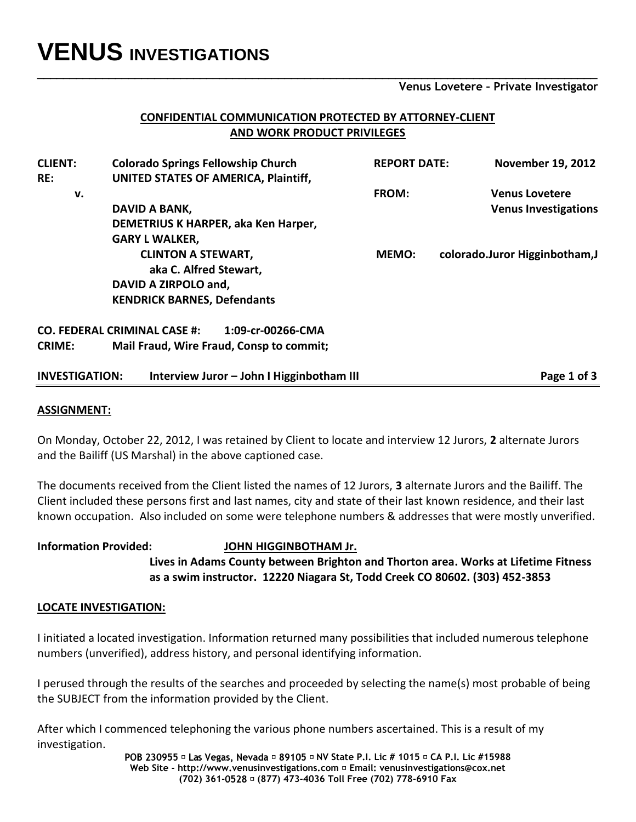# **VENUS INVESTIGATIONS**

**Venus Lovetere – Private Investigator**

### **CONFIDENTIAL COMMUNICATION PROTECTED BY ATTORNEY-CLIENT AND WORK PRODUCT PRIVILEGES**

**\_\_\_\_\_\_\_\_\_\_\_\_\_\_\_\_\_\_\_\_\_\_\_\_\_\_\_\_\_\_\_\_\_\_\_\_\_\_\_\_\_\_\_\_\_\_\_\_\_\_\_\_\_\_\_\_\_\_\_\_\_\_\_\_\_\_\_\_\_\_\_\_\_\_\_\_\_\_\_\_\_\_\_\_\_\_**

| UNITED STATES OF AMERICA, Plaintiff, |                                                                                                                                                                                                                                                                                                                                    |                                |
|--------------------------------------|------------------------------------------------------------------------------------------------------------------------------------------------------------------------------------------------------------------------------------------------------------------------------------------------------------------------------------|--------------------------------|
|                                      |                                                                                                                                                                                                                                                                                                                                    |                                |
|                                      | FROM:                                                                                                                                                                                                                                                                                                                              | <b>Venus Lovetere</b>          |
|                                      |                                                                                                                                                                                                                                                                                                                                    | <b>Venus Investigations</b>    |
|                                      |                                                                                                                                                                                                                                                                                                                                    |                                |
|                                      |                                                                                                                                                                                                                                                                                                                                    |                                |
|                                      | <b>MEMO:</b>                                                                                                                                                                                                                                                                                                                       | colorado.Juror Higginbotham, J |
|                                      |                                                                                                                                                                                                                                                                                                                                    |                                |
|                                      |                                                                                                                                                                                                                                                                                                                                    |                                |
|                                      |                                                                                                                                                                                                                                                                                                                                    |                                |
| 1:09-cr-00266-CMA                    |                                                                                                                                                                                                                                                                                                                                    |                                |
|                                      |                                                                                                                                                                                                                                                                                                                                    |                                |
|                                      |                                                                                                                                                                                                                                                                                                                                    | Page 1 of 3                    |
|                                      | DAVID A BANK,<br>DEMETRIUS K HARPER, aka Ken Harper,<br><b>GARY L WALKER,</b><br><b>CLINTON A STEWART,</b><br>aka C. Alfred Stewart,<br>DAVID A ZIRPOLO and,<br><b>KENDRICK BARNES, Defendants</b><br><b>CO. FEDERAL CRIMINAL CASE #:</b><br>Mail Fraud, Wire Fraud, Consp to commit;<br>Interview Juror - John I Higginbotham III |                                |

#### **ASSIGNMENT:**

On Monday, October 22, 2012, I was retained by Client to locate and interview 12 Jurors, **2** alternate Jurors and the Bailiff (US Marshal) in the above captioned case.

The documents received from the Client listed the names of 12 Jurors, **3** alternate Jurors and the Bailiff. The Client included these persons first and last names, city and state of their last known residence, and their last known occupation. Also included on some were telephone numbers & addresses that were mostly unverified.

#### **Information Provided: JOHN HIGGINBOTHAM Jr.**

**Lives in Adams County between Brighton and Thorton area. Works at Lifetime Fitness as a swim instructor. 12220 Niagara St, Todd Creek CO 80602. (303) 452-3853** 

#### **LOCATE INVESTIGATION:**

I initiated a located investigation. Information returned many possibilities that included numerous telephone numbers (unverified), address history, and personal identifying information.

I perused through the results of the searches and proceeded by selecting the name(s) most probable of being the SUBJECT from the information provided by the Client.

After which I commenced telephoning the various phone numbers ascertained. This is a result of my investigation.

> **NV State P.I. Lic # 1015 CA P.I. Lic #15988 Web Site - http://www.venusinvestigations.com Email: venusinvestigations@cox.net (702) 361- (877) 473-4036 Toll Free (702) 778-6910 Fax**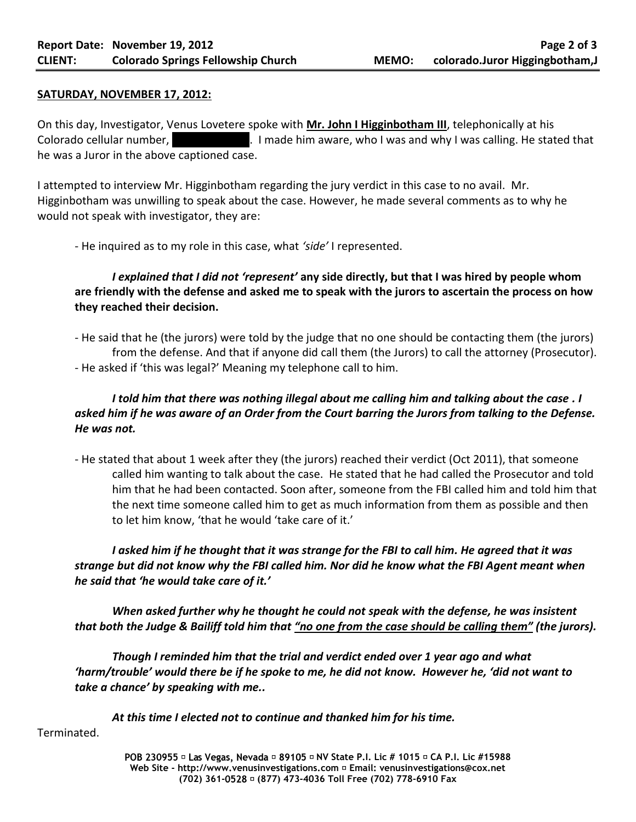#### **SATURDAY, NOVEMBER 17, 2012:**

On this day, Investigator, Venus Lovetere spoke with **Mr. John I Higginbotham III**, telephonically at his Colorado cellular number, (303) 843-81. I made him aware, who I was and why I was calling. He stated that he was a Juror in the above captioned case.

I attempted to interview Mr. Higginbotham regarding the jury verdict in this case to no avail. Mr. Higginbotham was unwilling to speak about the case. However, he made several comments as to why he would not speak with investigator, they are:

- He inquired as to my role in this case, what *'side'* I represented.

## *I explained that I did not 'represent'* **any side directly, but that I was hired by people whom are friendly with the defense and asked me to speak with the jurors to ascertain the process on how they reached their decision.**

- He said that he (the jurors) were told by the judge that no one should be contacting them (the jurors) from the defense. And that if anyone did call them (the Jurors) to call the attorney (Prosecutor). - He asked if 'this was legal?' Meaning my telephone call to him.

## *I told him that there was nothing illegal about me calling him and talking about the case . I asked him if he was aware of an Order from the Court barring the Jurors from talking to the Defense. He was not.*

- He stated that about 1 week after they (the jurors) reached their verdict (Oct 2011), that someone called him wanting to talk about the case. He stated that he had called the Prosecutor and told him that he had been contacted. Soon after, someone from the FBI called him and told him that the next time someone called him to get as much information from them as possible and then to let him know, 'that he would 'take care of it.'

*I asked him if he thought that it was strange for the FBI to call him. He agreed that it was strange but did not know why the FBI called him. Nor did he know what the FBI Agent meant when he said that 'he would take care of it.'* 

*When asked further why he thought he could not speak with the defense, he was insistent that both the Judge & Bailiff told him that "no one from the case should be calling them" (the jurors).*

*Though I reminded him that the trial and verdict ended over 1 year ago and what 'harm/trouble' would there be if he spoke to me, he did not know. However he, 'did not want to take a chance' by speaking with me..* 

*At this time I elected not to continue and thanked him for his time.*

Terminated.